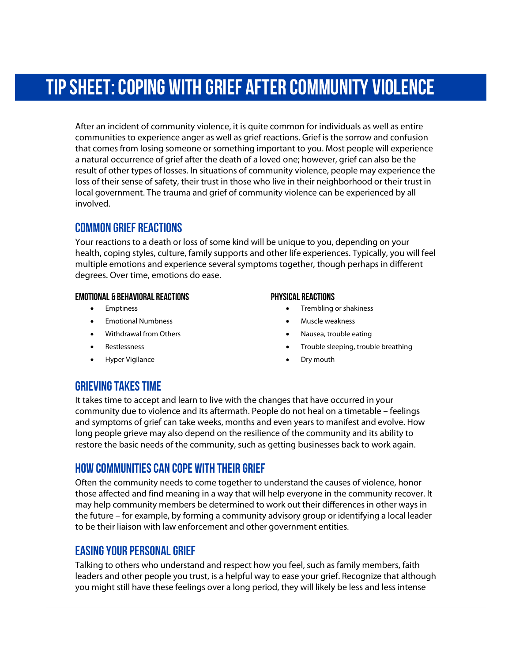# Tip Sheet: coping with grief after community violence

After an incident of community violence, it is quite common for individuals as well as entire communities to experience anger as well as grief reactions. Grief is the sorrow and confusion that comes from losing someone or something important to you. Most people will experience a natural occurrence of grief after the death of a loved one; however, grief can also be the result of other types of losses. In situations of community violence, people may experience the loss of their sense of safety, their trust in those who live in their neighborhood or their trust in local government. The trauma and grief of community violence can be experienced by all involved.

## COMMON GRIEF Reactions

Your reactions to a death or loss of some kind will be unique to you, depending on your health, coping styles, culture, family supports and other life experiences. Typically, you will feel multiple emotions and experience several symptoms together, though perhaps in different degrees. Over time, emotions do ease.

#### Emotional & BEHAVIORAL Reactions

- Emptiness
- Emotional Numbness
- Withdrawal from Others
- Restlessness
- Hyper Vigilance

#### Physical Reactions

- Trembling or shakiness
- Muscle weakness
- Nausea, trouble eating
- Trouble sleeping, trouble breathing
- Dry mouth

### GRIEVING TAKES TIME

It takes time to accept and learn to live with the changes that have occurred in your community due to violence and its aftermath. People do not heal on a timetable – feelings and symptoms of grief can take weeks, months and even years to manifest and evolve. How long people grieve may also depend on the resilience of the community and its ability to restore the basic needs of the community, such as getting businesses back to work again.

### HOW communities CAN cope with their grief

Often the community needs to come together to understand the causes of violence, honor those affected and find meaning in a way that will help everyone in the community recover. It may help community members be determined to work out their differences in other ways in the future – for example, by forming a community advisory group or identifying a local leader to be their liaison with law enforcement and other government entities.

### EASING YOUR PERSONAL grief

Talking to others who understand and respect how you feel, such as family members, faith leaders and other people you trust, is a helpful way to ease your grief. Recognize that although you might still have these feelings over a long period, they will likely be less and less intense